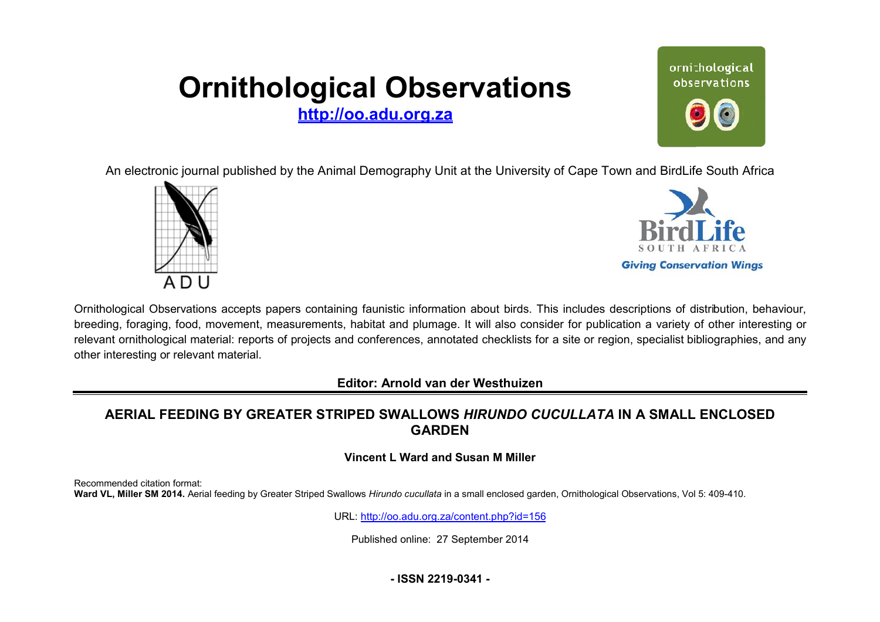# **Ornithological Observations**

**<http://oo.adu.org.za>**



An electronic journal published by the Animal Demography Unit at the University of Cape Town and BirdLife South Africa





Ornithological Observations accepts papers containing faunistic information about birds. This includes descriptions of distribution, behaviour, breeding, foraging, food, movement, measurements, habitat and plumage. It will also consider for publication a variety of other interesting or relevant ornithological material: reports of projects and conferences, annotated checklists for a site or region, specialist bibliographies, and any other interesting or relevant material.

**Editor: Arnold van der Westhuizen itor:**

## **AERIAL FEEDING BY GREATER STRIPED SWALLO EATER SWALLOWS** *HIRUNDO CUCULLATA* **IN A SMALL ENCLOSED GARDEN**

#### **Vincent L Ward and Susan M Miller**

Recommended citation format: Ward VL, Miller SM 2014. Aerial feeding by Greater Striped Swallows Hirundo cucullata in a small enclosed garden, Ornithological Observations, Vol 5: 409-410.

URL: <http://oo.adu.org.za/content.php?id=156>

Published online: 27 September 2014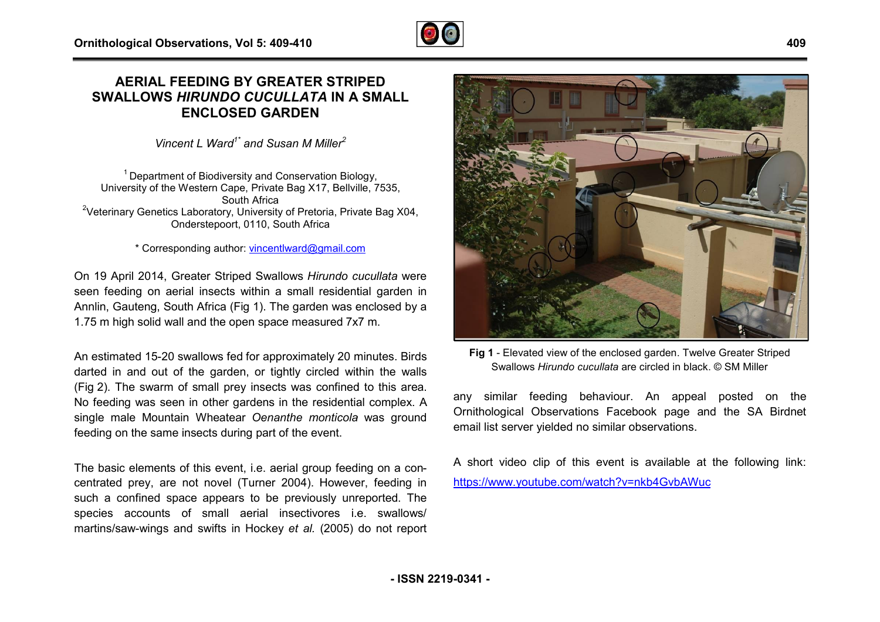### **AERIAL FEEDING BY GREATER STRIPED EATER SWALLOWS** *HIRUNDO CUCULLATA* **IN A SMALL ENCLOSED GARDEN**

*Vincent L Ward1\* and Susan M Miller<sup>2</sup>*

 $1$  Department of Biodiversity and Conservation Biology, University of the Western Cape, Private Bag X17, Bellville, 7535, South Africa <sup>2</sup>Veterinary Genetics Laboratory, University of Pretoria, Private Bag X04, Onderstepoort, 0110, South Africa

\* Corresponding author: [vincentlward@gmail.com](mailto:vincentlward@gmail.com)

On 19 April 2014, Greater Striped Swallows *Hirundo cucullata*  were seen feeding on aerial insects within a small residential garden in Annlin, Gauteng, South Africa (Fig 1). The garden was enclosed by a 1.75 m high solid wall and the open space measured 7x7 m.

An estimated 15-20 swallows fed for approximately 20 minutes. Birds darted in and out of the garden, or tightly circled within the walls (Fig 2). The swarm of small prey insects was confined to this area. .No feeding was seen in other gardens in the residential complex. A single male Mountain Wheatear *Oenanthe monticola* was ground feeding on the same insects during part of the event.

The basic elements of this event, i.e. aerial group feeding on a concentrated prey, are not novel (Turner 2004). However, f feeding in such a confined space appears to be previously unreported. The species accounts of small aerial insectivores i.e. swallows/ martins/saw-wings and swifts in Hockey et al. (2005) do not report



**Fig 1** - Elevated view of the enclosed garden. Twelve Greater Striped Swallows *Hirundo cucullata* are circled in black. © SM Miller

any similar feeding behaviour. An appeal posted on the Ornithological Observations Facebook page and the SA Birdnet email list server yielded no similar observations.

A short video clip of this event is available at the following link: <https://www.youtube.com/watch?v=nkb4GvbAWuc>